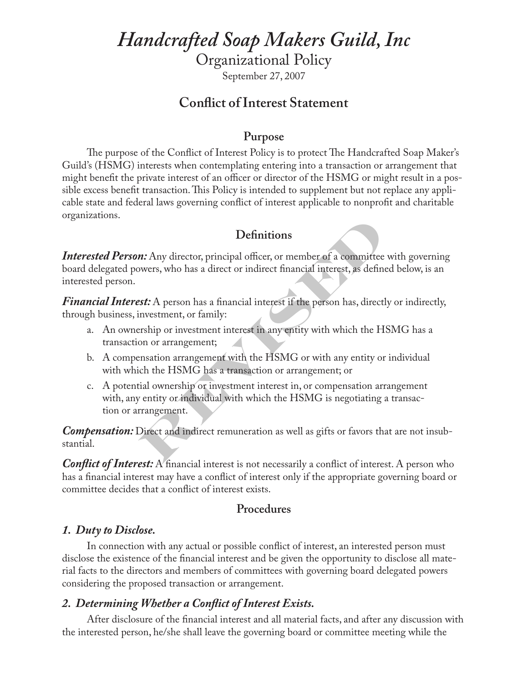# *Handcrafted Soap Makers Guild, Inc*

Organizational Policy

September 27, 2007

# **Conflict of Interest Statement**

#### **Purpose**

The purpose of the Conflict of Interest Policy is to protect The Handcrafted Soap Maker's Guild's (HSMG) interests when contemplating entering into a transaction or arrangement that might benefit the private interest of an officer or director of the HSMG or might result in a possible excess benefit transaction. This Policy is intended to supplement but not replace any applicable state and federal laws governing conflict of interest applicable to nonprofit and charitable organizations.

## **Definitions**

**Definitions**<br> **REVALUATE:** The same of a committee with govern<br> **REVISTON** We are a direct or indirect financial interest, as defined below, is a<br> **REVISTON** A person has a financial interest if the person has, directly o *Interested Person:* Any director, principal officer, or member of a committee with governing board delegated powers, who has a direct or indirect financial interest, as defined below, is an interested person.

*Financial Interest:* A person has a financial interest if the person has, directly or indirectly, through business, investment, or family:

- a. An ownership or investment interest in any entity with which the HSMG has a transaction or arrangement;
- b. A compensation arrangement with the HSMG or with any entity or individual with which the HSMG has a transaction or arrangement; or
- c. A potential ownership or investment interest in, or compensation arrangement with, any entity or individual with which the HSMG is negotiating a transaction or arrangement.

*Compensation:* Direct and indirect remuneration as well as gifts or favors that are not insubstantial.

*Conflict of Interest:* A financial interest is not necessarily a conflict of interest. A person who has a financial interest may have a conflict of interest only if the appropriate governing board or committee decides that a conflict of interest exists.

#### **Procedures**

#### *1. Duty to Disclose.*

In connection with any actual or possible conflict of interest, an interested person must disclose the existence of the financial interest and be given the opportunity to disclose all material facts to the directors and members of committees with governing board delegated powers considering the proposed transaction or arrangement.

#### *2. Determining Whether a Conflict of Interest Exists.*

After disclosure of the financial interest and all material facts, and after any discussion with the interested person, he/she shall leave the governing board or committee meeting while the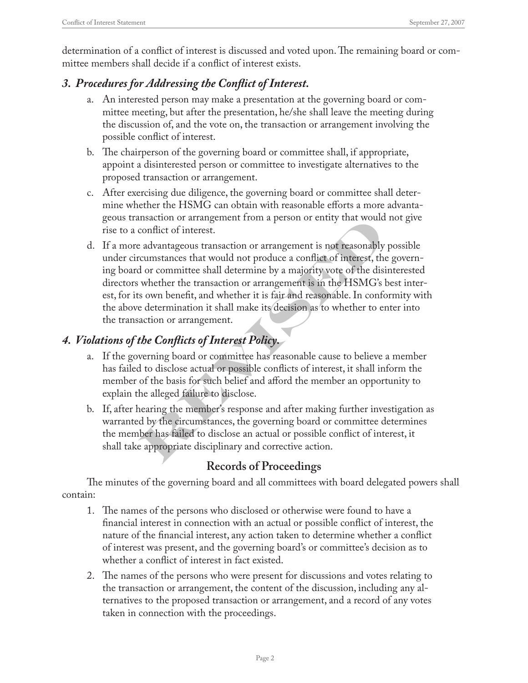determination of a conflict of interest is discussed and voted upon. The remaining board or committee members shall decide if a conflict of interest exists.

#### *3. Procedures for Addressing the Conflict of Interest.*

- a. An interested person may make a presentation at the governing board or committee meeting, but after the presentation, he/she shall leave the meeting during the discussion of, and the vote on, the transaction or arrangement involving the possible conflict of interest.
- b. The chairperson of the governing board or committee shall, if appropriate, appoint a disinterested person or committee to investigate alternatives to the proposed transaction or arrangement.
- c. After exercising due diligence, the governing board or committee shall determine whether the HSMG can obtain with reasonable efforts a more advantageous transaction or arrangement from a person or entity that would not give rise to a conflict of interest.
- Insaction or arrangement rrom a person or entity that would not give<br>conflict of interest.<br>a divariageous transaction or arrangement is not reasonably possible<br>ecumstances that would not produce a conflict of interest, the d. If a more advantageous transaction or arrangement is not reasonably possible under circumstances that would not produce a conflict of interest, the governing board or committee shall determine by a majority vote of the disinterested directors whether the transaction or arrangement is in the HSMG's best interest, for its own benefit, and whether it is fair and reasonable. In conformity with the above determination it shall make its decision as to whether to enter into the transaction or arrangement.

#### *4. Violations of the Conflicts of Interest Policy.*

- a. If the governing board or committee has reasonable cause to believe a member has failed to disclose actual or possible conflicts of interest, it shall inform the member of the basis for such belief and afford the member an opportunity to explain the alleged failure to disclose.
- b. If, after hearing the member's response and after making further investigation as warranted by the circumstances, the governing board or committee determines the member has failed to disclose an actual or possible conflict of interest, it shall take appropriate disciplinary and corrective action.

# **Records of Proceedings**

The minutes of the governing board and all committees with board delegated powers shall contain:

- 1. The names of the persons who disclosed or otherwise were found to have a financial interest in connection with an actual or possible conflict of interest, the nature of the financial interest, any action taken to determine whether a conflict of interest was present, and the governing board's or committee's decision as to whether a conflict of interest in fact existed.
- 2. The names of the persons who were present for discussions and votes relating to the transaction or arrangement, the content of the discussion, including any alternatives to the proposed transaction or arrangement, and a record of any votes taken in connection with the proceedings.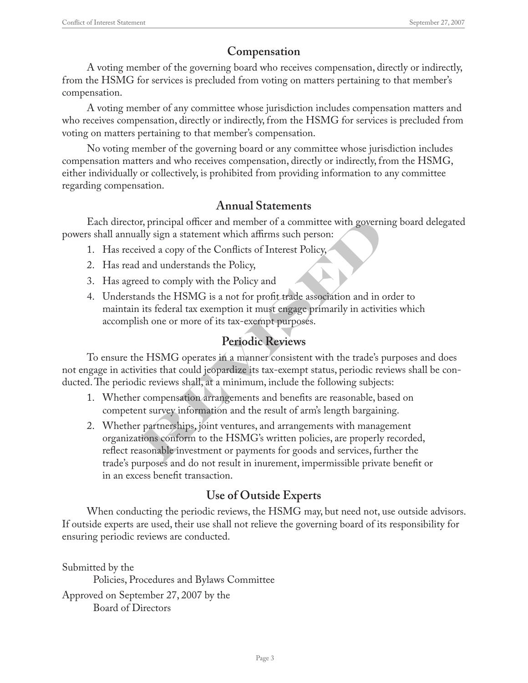## **Compensation**

A voting member of the governing board who receives compensation, directly or indirectly, from the HSMG for services is precluded from voting on matters pertaining to that member's compensation.

A voting member of any committee whose jurisdiction includes compensation matters and who receives compensation, directly or indirectly, from the HSMG for services is precluded from voting on matters pertaining to that member's compensation.

No voting member of the governing board or any committee whose jurisdiction includes compensation matters and who receives compensation, directly or indirectly, from the HSMG, either individually or collectively, is prohibited from providing information to any committee regarding compensation.

#### **Annual Statements**

Each director, principal officer and member of a committee with governing board delegated powers shall annually sign a statement which affirms such person:

- 1. Has received a copy of the Conflicts of Interest Policy,
- 2. Has read and understands the Policy,
- 3. Has agreed to comply with the Policy and
- 4. Understands the HSMG is a not for profit trade association and in order to maintain its federal tax exemption it must engage primarily in activities which accomplish one or more of its tax-exempt purposes.

## **Periodic Reviews**

To ensure the HSMG operates in a manner consistent with the trade's purposes and does not engage in activities that could jeopardize its tax-exempt status, periodic reviews shall be conducted. The periodic reviews shall, at a minimum, include the following subjects:

- 1. Whether compensation arrangements and benefits are reasonable, based on competent survey information and the result of arm's length bargaining.
- For principal officer and member of a committee with governing board deally sign a statement which affirms such person:<br>
For a copy of the Conflicts of Interest Policy,<br>
and understands the Policy,<br>
and understands the Pol 2. Whether partnerships, joint ventures, and arrangements with management organizations conform to the HSMG's written policies, are properly recorded, reflect reasonable investment or payments for goods and services, further the trade's purposes and do not result in inurement, impermissible private benefit or in an excess benefit transaction.

## **Use of Outside Experts**

When conducting the periodic reviews, the HSMG may, but need not, use outside advisors. If outside experts are used, their use shall not relieve the governing board of its responsibility for ensuring periodic reviews are conducted.

Submitted by the Policies, Procedures and Bylaws Committee Approved on September 27, 2007 by the Board of Directors